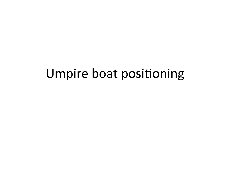## Umpire boat positioning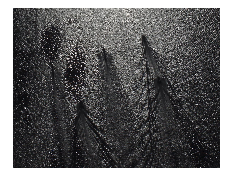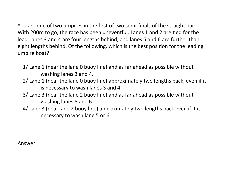You are one of two umpires in the first of two semi-finals of the straight pair. With 200m to go, the race has been uneventful. Lanes 1 and 2 are tied for the lead, lanes 3 and 4 are four lengths behind, and lanes 5 and 6 are further than eight lengths behind. Of the following, which is the best position for the leading umpire boat?

- 1/ Lane 1 (near the lane 0 buoy line) and as far ahead as possible without washing lanes 3 and 4.
- 2/ Lane 1 (near the lane 0 buoy line) approximately two lengths back, even if it is necessary to wash lanes 3 and 4.
- 3/ Lane 3 (near the lane 2 buoy line) and as far ahead as possible without washing lanes 5 and 6.
- 4/ Lane 3 (near lane 2 buoy line) approximately two lengths back even if it is necessary to wash lane 5 or 6.

Answer \_\_\_\_\_\_\_\_\_\_\_\_\_\_\_\_\_\_\_\_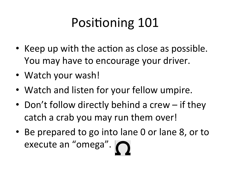## Positioning 101

- Keep up with the action as close as possible. You may have to encourage your driver.
- Watch your wash!
- Watch and listen for your fellow umpire.
- Don't follow directly behind a crew  $-$  if they catch a crab you may run them over!
- Be prepared to go into lane 0 or lane 8, or to execute an "omega".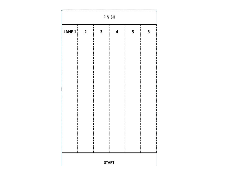| <b>FINISH</b>         |  |   |              |   |   |
|-----------------------|--|---|--------------|---|---|
| LANE $1\frac{1}{2}$ 2 |  | 3 | 4            | 5 | 6 |
|                       |  |   |              |   |   |
|                       |  |   |              |   |   |
|                       |  |   |              |   |   |
|                       |  |   |              |   |   |
|                       |  |   |              |   |   |
|                       |  |   |              |   |   |
|                       |  |   |              |   |   |
|                       |  |   | <b>START</b> |   |   |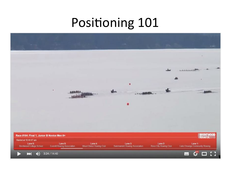## Positioning 101

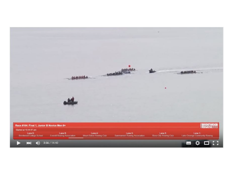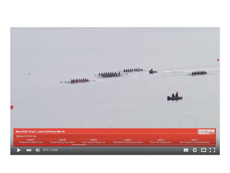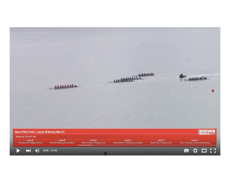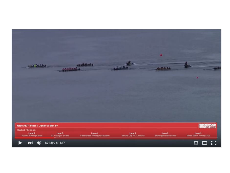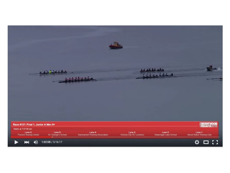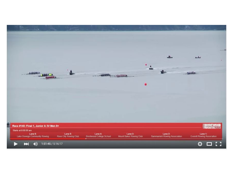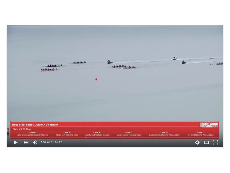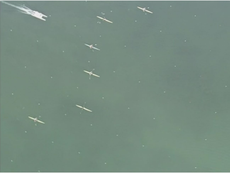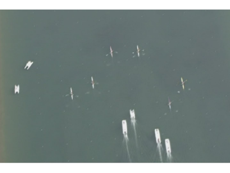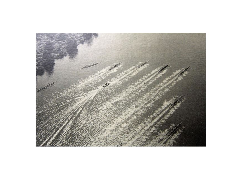